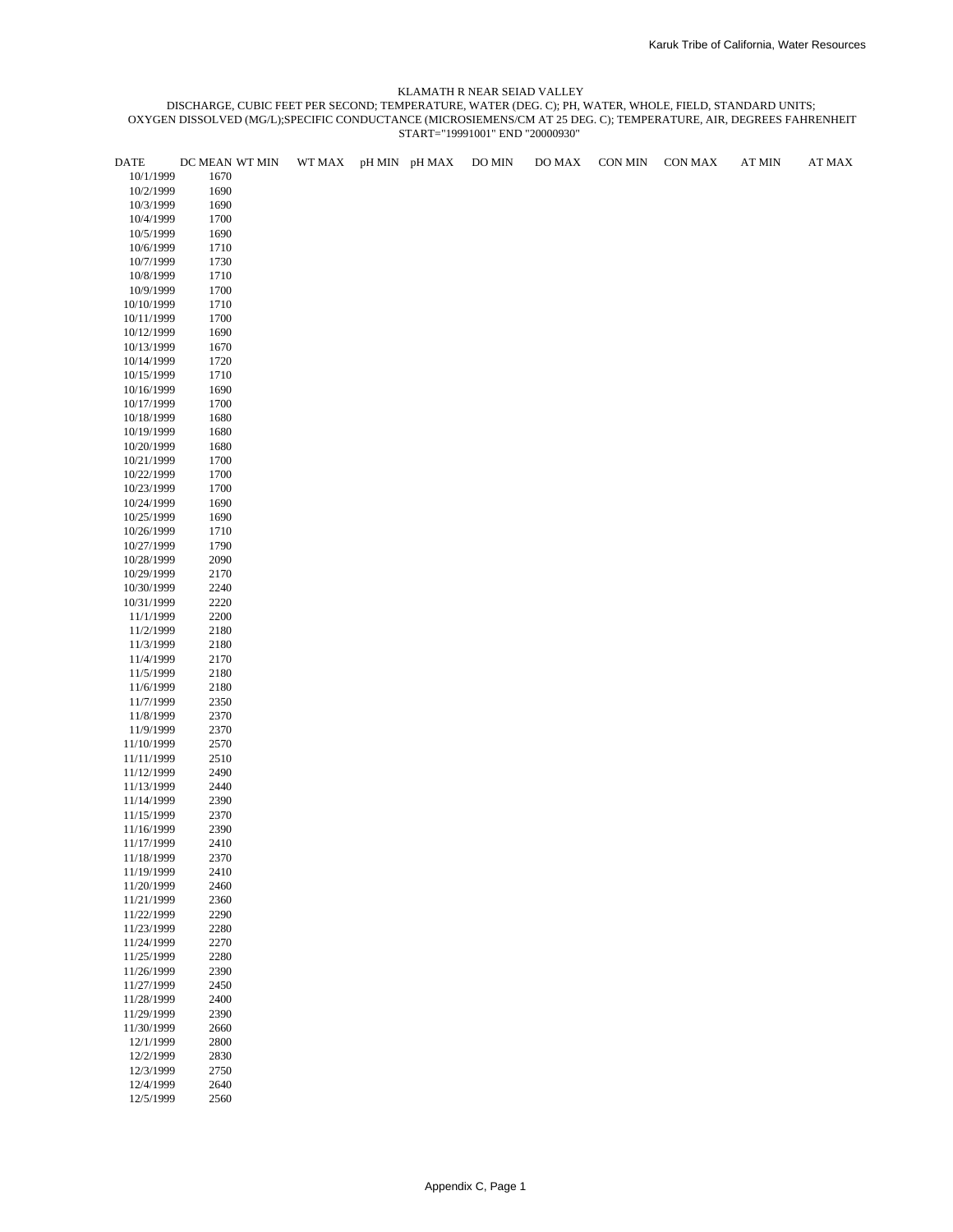| DATE       | DC MEAN WT MIN | WT MAX | pH MIN pH MAX | DO MIN | DO MAX | CON MIN | <b>CON MAX</b> | <b>AT MIN</b> | AT MAX |
|------------|----------------|--------|---------------|--------|--------|---------|----------------|---------------|--------|
| 10/1/1999  | 1670           |        |               |        |        |         |                |               |        |
| 10/2/1999  | 1690           |        |               |        |        |         |                |               |        |
| 10/3/1999  | 1690           |        |               |        |        |         |                |               |        |
| 10/4/1999  | 1700           |        |               |        |        |         |                |               |        |
| 10/5/1999  | 1690           |        |               |        |        |         |                |               |        |
| 10/6/1999  | 1710           |        |               |        |        |         |                |               |        |
| 10/7/1999  | 1730           |        |               |        |        |         |                |               |        |
|            |                |        |               |        |        |         |                |               |        |
| 10/8/1999  | 1710           |        |               |        |        |         |                |               |        |
| 10/9/1999  | 1700           |        |               |        |        |         |                |               |        |
| 10/10/1999 | 1710           |        |               |        |        |         |                |               |        |
| 10/11/1999 | 1700           |        |               |        |        |         |                |               |        |
| 10/12/1999 | 1690           |        |               |        |        |         |                |               |        |
| 10/13/1999 | 1670           |        |               |        |        |         |                |               |        |
| 10/14/1999 | 1720           |        |               |        |        |         |                |               |        |
| 10/15/1999 | 1710           |        |               |        |        |         |                |               |        |
| 10/16/1999 | 1690           |        |               |        |        |         |                |               |        |
| 10/17/1999 | 1700           |        |               |        |        |         |                |               |        |
| 10/18/1999 | 1680           |        |               |        |        |         |                |               |        |
| 10/19/1999 | 1680           |        |               |        |        |         |                |               |        |
| 10/20/1999 | 1680           |        |               |        |        |         |                |               |        |
| 10/21/1999 | 1700           |        |               |        |        |         |                |               |        |
| 10/22/1999 | 1700           |        |               |        |        |         |                |               |        |
| 10/23/1999 | 1700           |        |               |        |        |         |                |               |        |
|            | 1690           |        |               |        |        |         |                |               |        |
| 10/24/1999 |                |        |               |        |        |         |                |               |        |
| 10/25/1999 | 1690           |        |               |        |        |         |                |               |        |
| 10/26/1999 | 1710           |        |               |        |        |         |                |               |        |
| 10/27/1999 | 1790           |        |               |        |        |         |                |               |        |
| 10/28/1999 | 2090           |        |               |        |        |         |                |               |        |
| 10/29/1999 | 2170           |        |               |        |        |         |                |               |        |
| 10/30/1999 | 2240           |        |               |        |        |         |                |               |        |
| 10/31/1999 | 2220           |        |               |        |        |         |                |               |        |
| 11/1/1999  | 2200           |        |               |        |        |         |                |               |        |
| 11/2/1999  | 2180           |        |               |        |        |         |                |               |        |
| 11/3/1999  | 2180           |        |               |        |        |         |                |               |        |
| 11/4/1999  | 2170           |        |               |        |        |         |                |               |        |
| 11/5/1999  | 2180           |        |               |        |        |         |                |               |        |
| 11/6/1999  | 2180           |        |               |        |        |         |                |               |        |
| 11/7/1999  | 2350           |        |               |        |        |         |                |               |        |
| 11/8/1999  | 2370           |        |               |        |        |         |                |               |        |
| 11/9/1999  | 2370           |        |               |        |        |         |                |               |        |
| 11/10/1999 | 2570           |        |               |        |        |         |                |               |        |
| 11/11/1999 | 2510           |        |               |        |        |         |                |               |        |
| 11/12/1999 | 2490           |        |               |        |        |         |                |               |        |
| 11/13/1999 | 2440           |        |               |        |        |         |                |               |        |
| 11/14/1999 | 2390           |        |               |        |        |         |                |               |        |
|            | 2370           |        |               |        |        |         |                |               |        |
| 11/15/1999 | 2390           |        |               |        |        |         |                |               |        |
| 11/16/1999 |                |        |               |        |        |         |                |               |        |
| 11/17/1999 | 2410           |        |               |        |        |         |                |               |        |
| 11/18/1999 | 2370           |        |               |        |        |         |                |               |        |
| 11/19/1999 | 2410           |        |               |        |        |         |                |               |        |
| 11/20/1999 | 2460           |        |               |        |        |         |                |               |        |
| 11/21/1999 | 2360           |        |               |        |        |         |                |               |        |
| 11/22/1999 | 2290           |        |               |        |        |         |                |               |        |
| 11/23/1999 | 2280           |        |               |        |        |         |                |               |        |
| 11/24/1999 | 2270           |        |               |        |        |         |                |               |        |
| 11/25/1999 | 2280           |        |               |        |        |         |                |               |        |
| 11/26/1999 | 2390           |        |               |        |        |         |                |               |        |
| 11/27/1999 | 2450           |        |               |        |        |         |                |               |        |
| 11/28/1999 | 2400           |        |               |        |        |         |                |               |        |
| 11/29/1999 | 2390           |        |               |        |        |         |                |               |        |
| 11/30/1999 | 2660           |        |               |        |        |         |                |               |        |
| 12/1/1999  | 2800           |        |               |        |        |         |                |               |        |
| 12/2/1999  | 2830           |        |               |        |        |         |                |               |        |
| 12/3/1999  | 2750           |        |               |        |        |         |                |               |        |
| 12/4/1999  | 2640           |        |               |        |        |         |                |               |        |
| 12/5/1999  | 2560           |        |               |        |        |         |                |               |        |
|            |                |        |               |        |        |         |                |               |        |
|            |                |        |               |        |        |         |                |               |        |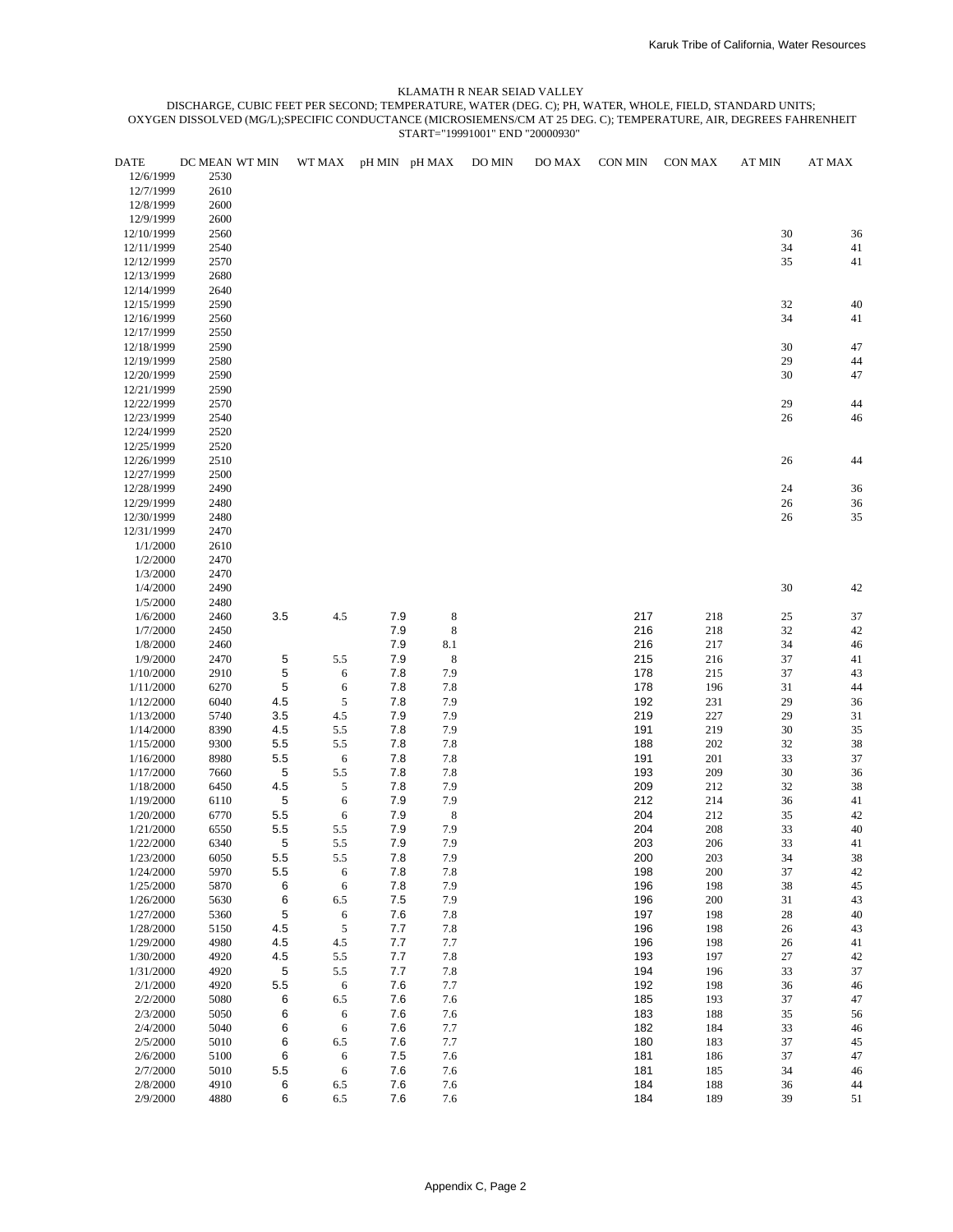| <b>DATE</b>          | DC MEAN WT MIN |         | WT MAX     |         | pH MIN pH MAX | DO MIN | DO MAX | CON MIN | CON MAX | <b>AT MIN</b> | AT MAX |
|----------------------|----------------|---------|------------|---------|---------------|--------|--------|---------|---------|---------------|--------|
| 12/6/1999            | 2530           |         |            |         |               |        |        |         |         |               |        |
| 12/7/1999            | 2610           |         |            |         |               |        |        |         |         |               |        |
| 12/8/1999            | 2600           |         |            |         |               |        |        |         |         |               |        |
| 12/9/1999            | 2600           |         |            |         |               |        |        |         |         |               |        |
| 12/10/1999           | 2560           |         |            |         |               |        |        |         |         | 30            | 36     |
| 12/11/1999           | 2540           |         |            |         |               |        |        |         |         | 34            | 41     |
| 12/12/1999           | 2570           |         |            |         |               |        |        |         |         | 35            | 41     |
| 12/13/1999           | 2680           |         |            |         |               |        |        |         |         |               |        |
| 12/14/1999           | 2640           |         |            |         |               |        |        |         |         |               |        |
| 12/15/1999           | 2590           |         |            |         |               |        |        |         |         | 32            | 40     |
| 12/16/1999           | 2560           |         |            |         |               |        |        |         |         | 34            | 41     |
| 12/17/1999           | 2550           |         |            |         |               |        |        |         |         |               |        |
| 12/18/1999           | 2590           |         |            |         |               |        |        |         |         | 30            | 47     |
| 12/19/1999           | 2580           |         |            |         |               |        |        |         |         | 29            | 44     |
| 12/20/1999           | 2590           |         |            |         |               |        |        |         |         | 30            | 47     |
| 12/21/1999           | 2590           |         |            |         |               |        |        |         |         |               |        |
| 12/22/1999           | 2570           |         |            |         |               |        |        |         |         | 29            | 44     |
| 12/23/1999           | 2540           |         |            |         |               |        |        |         |         | 26            | 46     |
| 12/24/1999           | 2520           |         |            |         |               |        |        |         |         |               |        |
| 12/25/1999           | 2520           |         |            |         |               |        |        |         |         |               |        |
| 12/26/1999           | 2510           |         |            |         |               |        |        |         |         | 26            | 44     |
| 12/27/1999           | 2500           |         |            |         |               |        |        |         |         |               |        |
| 12/28/1999           | 2490           |         |            |         |               |        |        |         |         | 24            | 36     |
| 12/29/1999           | 2480           |         |            |         |               |        |        |         |         | $26\,$        | 36     |
| 12/30/1999           | 2480           |         |            |         |               |        |        |         |         | 26            | 35     |
| 12/31/1999           | 2470           |         |            |         |               |        |        |         |         |               |        |
| 1/1/2000             | 2610           |         |            |         |               |        |        |         |         |               |        |
|                      | 2470           |         |            |         |               |        |        |         |         |               |        |
| 1/2/2000             |                |         |            |         |               |        |        |         |         |               |        |
| 1/3/2000             | 2470           |         |            |         |               |        |        |         |         |               |        |
| 1/4/2000             | 2490           |         |            |         |               |        |        |         |         | 30            | 42     |
| 1/5/2000             | 2480           |         |            |         |               |        |        |         |         |               |        |
| 1/6/2000             | 2460           | 3.5     | 4.5        | 7.9     | 8             |        |        | 217     | 218     | 25            | 37     |
| 1/7/2000             | 2450           |         |            | 7.9     | 8             |        |        | 216     | 218     | 32            | 42     |
| 1/8/2000             | 2460           |         |            | 7.9     | 8.1           |        |        | 216     | 217     | 34            | 46     |
| 1/9/2000             | 2470           | 5       | 5.5        | 7.9     | $\,$ 8 $\,$   |        |        | 215     | 216     | 37            | 41     |
| 1/10/2000            | 2910           | 5       | 6          | 7.8     | 7.9           |        |        | 178     | 215     | 37            | 43     |
| 1/11/2000            | 6270           | 5       | 6          | 7.8     | 7.8           |        |        | 178     | 196     | 31            | 44     |
| 1/12/2000            | 6040           | 4.5     | 5          | 7.8     | 7.9           |        |        | 192     | 231     | 29            | 36     |
| 1/13/2000            | 5740           | 3.5     | 4.5        | 7.9     | 7.9           |        |        | 219     | 227     | 29            | 31     |
| 1/14/2000            | 8390           | 4.5     | 5.5        | 7.8     | 7.9           |        |        | 191     | 219     | 30            | 35     |
| 1/15/2000            | 9300           | 5.5     | 5.5        | 7.8     | 7.8           |        |        | 188     | 202     | 32            | 38     |
| 1/16/2000            | 8980           | 5.5     | 6          | 7.8     | 7.8           |        |        | 191     | 201     | 33            | 37     |
| 1/17/2000            | 7660           | 5       | 5.5        | 7.8     | 7.8           |        |        | 193     | 209     | 30            | 36     |
| 1/18/2000            | 6450           | 4.5     | 5          | 7.8     | 7.9           |        |        | 209     | 212     | 32            | 38     |
| 1/19/2000            | 6110           | 5       | 6          | 7.9     | 7.9           |        |        | 212     | 214     | 36            | $41\,$ |
| 1/20/2000            | 6770           | 5.5     | 6          | 7.9     | 8             |        |        | 204     | 212     | 35            | 42     |
| 1/21/2000            | 6550           | 5.5     | 5.5        | 7.9     | 7.9           |        |        | 204     | 208     | 33            | 40     |
| 1/22/2000            | 6340           | 5       | 5.5        | 7.9     | 7.9           |        |        | 203     | 206     | 33            | 41     |
| 1/23/2000            | 6050           | 5.5     | 5.5        | 7.8     | 7.9           |        |        | 200     | 203     | 34            | 38     |
| 1/24/2000            | 5970           | 5.5     | 6          | 7.8     | 7.8           |        |        | 198     | 200     | 37            | 42     |
| 1/25/2000            | 5870           | 6       | $\epsilon$ | 7.8     | 7.9           |        |        | 196     | 198     | 38            | 45     |
| 1/26/2000            | 5630           | 6       | 6.5        | 7.5     | 7.9           |        |        | 196     | 200     | 31            | 43     |
| 1/27/2000            | 5360           | 5       | 6          | 7.6     | 7.8           |        |        | 197     | 198     | $28\,$        | 40     |
| 1/28/2000            | 5150           | 4.5     | $\sqrt{5}$ | 7.7     | 7.8           |        |        | 196     | 198     | 26            | 43     |
| 1/29/2000            | 4980           | 4.5     | $4.5\,$    | 7.7     | 7.7           |        |        | 196     | 198     | 26            | 41     |
| 1/30/2000            | 4920           | 4.5     | 5.5        | 7.7     | 7.8           |        |        | 193     | 197     | $27\,$        | 42     |
| 1/31/2000            | 4920           | 5       | 5.5        | 7.7     | 7.8           |        |        | 194     | 196     | 33            | 37     |
| 2/1/2000             | 4920           | 5.5     | 6          | 7.6     | 7.7           |        |        | 192     | 198     | 36            | 46     |
| 2/2/2000             | 5080           | 6       | 6.5        | 7.6     | 7.6           |        |        | 185     | 193     | 37            | 47     |
|                      |                |         |            | 7.6     |               |        |        | 183     |         |               |        |
| 2/3/2000<br>2/4/2000 | 5050           | 6       | 6          |         | 7.6           |        |        | 182     | 188     | 35            | 56     |
|                      | 5040           | 6       | 6          | 7.6     | 7.7           |        |        |         | 184     | 33            | 46     |
| 2/5/2000             | 5010           | 6       | 6.5        | 7.6     | 7.7           |        |        | 180     | 183     | 37            | 45     |
| 2/6/2000             | 5100           | 6       | 6          | 7.5     | 7.6           |        |        | 181     | 186     | 37            | 47     |
| 2/7/2000             | 5010           | $5.5\,$ | 6          | 7.6     | 7.6           |        |        | 181     | 185     | 34            | 46     |
| 2/8/2000             | 4910           | 6       | 6.5        | 7.6     | 7.6           |        |        | 184     | 188     | 36            | 44     |
| 2/9/2000             | 4880           | 6       | $6.5\,$    | $7.6\,$ | 7.6           |        |        | 184     | 189     | 39            | 51     |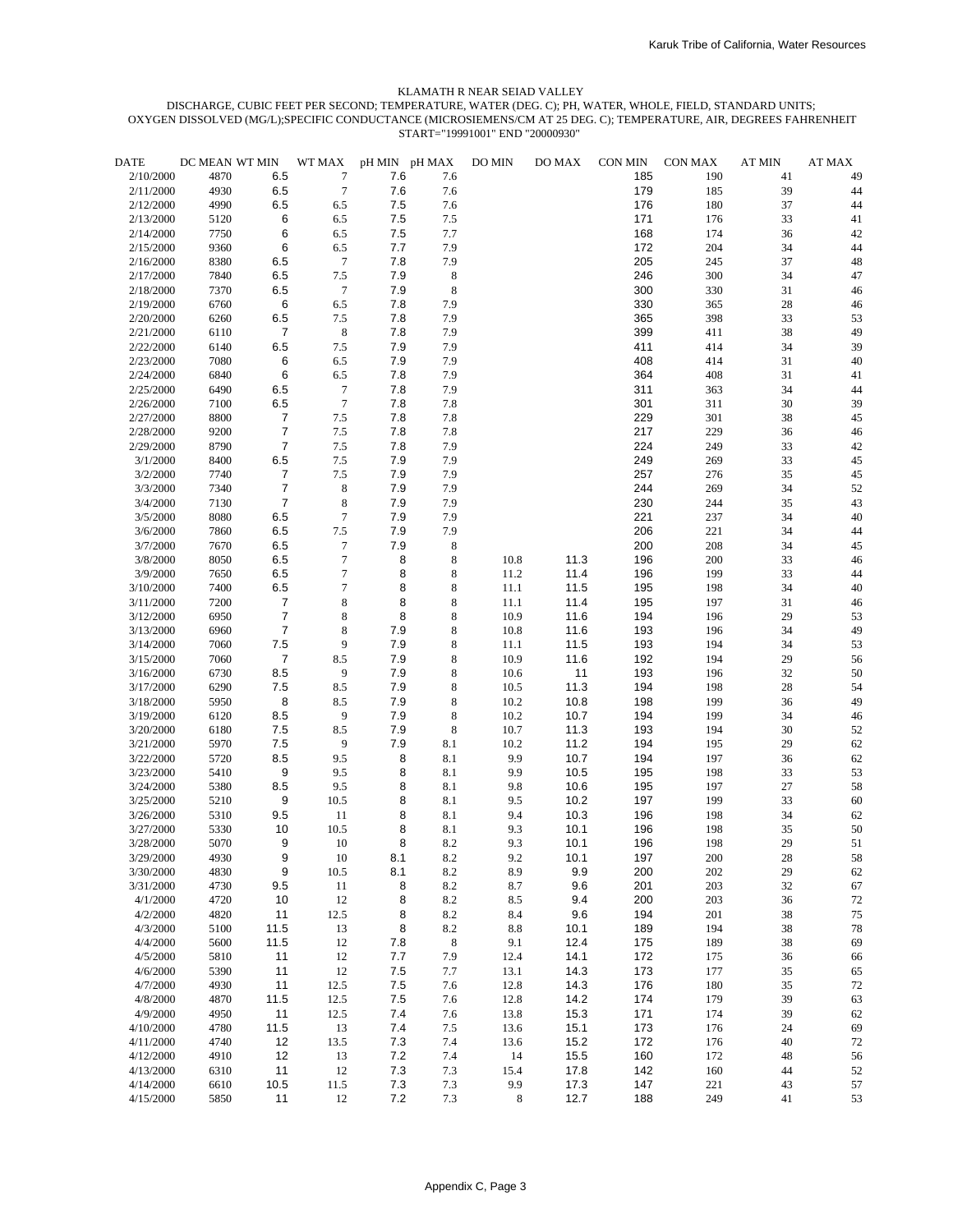| <b>DATE</b> | DC MEAN WT MIN |                  | WT MAX           | pH MIN pH MAX |             | DO MIN  | DO MAX | CON MIN | CON MAX | <b>AT MIN</b> | AT MAX |
|-------------|----------------|------------------|------------------|---------------|-------------|---------|--------|---------|---------|---------------|--------|
| 2/10/2000   | 4870           | 6.5              | 7                | 7.6           | 7.6         |         |        | 185     | 190     | 41            | 49     |
| 2/11/2000   | 4930           | 6.5              | $\overline{7}$   | 7.6           | 7.6         |         |        | 179     | 185     | 39            | 44     |
| 2/12/2000   | 4990           | 6.5              | 6.5              | 7.5           | 7.6         |         |        | 176     | 180     | 37            | 44     |
| 2/13/2000   | 5120           | 6                | 6.5              | 7.5           | 7.5         |         |        | 171     | 176     | 33            | 41     |
| 2/14/2000   | 7750           | 6                | 6.5              | 7.5           | 7.7         |         |        | 168     | 174     | 36            | 42     |
| 2/15/2000   | 9360           | 6                | 6.5              | 7.7           | 7.9         |         |        | 172     | 204     | 34            | 44     |
| 2/16/2000   | 8380           | 6.5              | $\boldsymbol{7}$ | 7.8           | 7.9         |         |        | 205     | 245     | 37            | 48     |
| 2/17/2000   | 7840           | 6.5              | $7.5$            | 7.9           | $\,$ 8 $\,$ |         |        | 246     | 300     | 34            | 47     |
| 2/18/2000   | 7370           | 6.5              | $\tau$           | 7.9           | $\,$ 8 $\,$ |         |        | 300     | 330     | 31            | 46     |
| 2/19/2000   | 6760           | 6                | 6.5              | 7.8           | 7.9         |         |        | 330     | 365     | 28            | 46     |
| 2/20/2000   | 6260           | 6.5              | 7.5              | 7.8           | 7.9         |         |        | 365     | 398     | 33            | 53     |
| 2/21/2000   | 6110           | $\overline{7}$   | $\,$ 8 $\,$      | 7.8           | 7.9         |         |        | 399     | 411     | 38            | 49     |
| 2/22/2000   | 6140           | 6.5              | 7.5              | 7.9           | 7.9         |         |        | 411     | 414     | 34            | 39     |
| 2/23/2000   | 7080           | 6                | 6.5              | 7.9           | 7.9         |         |        | 408     | 414     | 31            | 40     |
| 2/24/2000   | 6840           | 6                | 6.5              | 7.8           | 7.9         |         |        | 364     | 408     | 31            | 41     |
| 2/25/2000   | 6490           | 6.5              | $\boldsymbol{7}$ | 7.8           | 7.9         |         |        | 311     | 363     | 34            | 44     |
| 2/26/2000   | 7100           | 6.5              | $\boldsymbol{7}$ | 7.8           | 7.8         |         |        | 301     | 311     | 30            | 39     |
| 2/27/2000   | 8800           | $\overline{7}$   | 7.5              | 7.8           | 7.8         |         |        | 229     | 301     | 38            | 45     |
| 2/28/2000   | 9200           | $\overline{7}$   | $7.5\,$          | 7.8           | 7.8         |         |        | 217     | 229     | 36            | 46     |
| 2/29/2000   | 8790           | $\boldsymbol{7}$ | 7.5              | 7.8           | 7.9         |         |        | 224     | 249     | 33            | 42     |
| 3/1/2000    | 8400           | 6.5              | 7.5              | 7.9           | 7.9         |         |        | 249     | 269     | 33            | 45     |
| 3/2/2000    | 7740           | $\overline{7}$   | 7.5              | 7.9           | 7.9         |         |        | 257     | 276     | 35            | 45     |
| 3/3/2000    | 7340           | $\overline{7}$   | $\,$ 8 $\,$      | 7.9           | 7.9         |         |        | 244     | 269     | 34            | 52     |
| 3/4/2000    | 7130           | $\boldsymbol{7}$ | $\,$ 8 $\,$      | 7.9           | 7.9         |         |        | 230     | 244     | 35            | 43     |
| 3/5/2000    | 8080           | 6.5              | $\boldsymbol{7}$ | 7.9           | 7.9         |         |        | 221     | 237     | 34            | 40     |
| 3/6/2000    | 7860           | 6.5              | $7.5\,$          | 7.9           | 7.9         |         |        | 206     | 221     | 34            | 44     |
| 3/7/2000    | 7670           | 6.5              | $\tau$           | 7.9           | 8           |         |        | 200     | 208     | 34            | 45     |
| 3/8/2000    | 8050           | 6.5              | $\tau$           | 8             | 8           | 10.8    | 11.3   | 196     | 200     | 33            | 46     |
| 3/9/2000    | 7650           | 6.5              | $\overline{7}$   | 8             | 8           | 11.2    | 11.4   | 196     | 199     | 33            | 44     |
| 3/10/2000   | 7400           | 6.5              | $\overline{7}$   | 8             | $\,$ 8 $\,$ | 11.1    | 11.5   | 195     | 198     | 34            | 40     |
| 3/11/2000   | 7200           | $\overline{7}$   | $\,$ 8 $\,$      | 8             | 8           | 11.1    | 11.4   | 195     | 197     | 31            | 46     |
| 3/12/2000   | 6950           | $\overline{7}$   | $\,$ 8 $\,$      | 8             | $\,$ 8 $\,$ | 10.9    | 11.6   | 194     | 196     | 29            | 53     |
| 3/13/2000   | 6960           | $\overline{7}$   | $\,$ 8 $\,$      | 7.9           | $\,$ 8 $\,$ | 10.8    | 11.6   | 193     | 196     | 34            | 49     |
| 3/14/2000   | 7060           | 7.5              | 9                | 7.9           | $\,$ 8 $\,$ | 11.1    | 11.5   | 193     | 194     | 34            | 53     |
| 3/15/2000   | 7060           | $\boldsymbol{7}$ | 8.5              | 7.9           | $\,$ 8 $\,$ | 10.9    | 11.6   | 192     | 194     | 29            | 56     |
| 3/16/2000   | 6730           | 8.5              | 9                | 7.9           | $\,$ 8 $\,$ | 10.6    | 11     | 193     | 196     | 32            | 50     |
| 3/17/2000   | 6290           | 7.5              | 8.5              | 7.9           | $\,$ 8 $\,$ | 10.5    | 11.3   | 194     | 198     | 28            | 54     |
| 3/18/2000   | 5950           | 8                | 8.5              | 7.9           | $\,$ 8 $\,$ | 10.2    | 10.8   | 198     | 199     | 36            | 49     |
| 3/19/2000   | 6120           | 8.5              | 9                | 7.9           | $\,$ 8 $\,$ | 10.2    | 10.7   | 194     | 199     | 34            | 46     |
| 3/20/2000   | 6180           | 7.5              | 8.5              | 7.9           | 8           | 10.7    | 11.3   | 193     | 194     | 30            | 52     |
| 3/21/2000   | 5970           | 7.5              | 9                | 7.9           | 8.1         | 10.2    | 11.2   | 194     | 195     | 29            | 62     |
| 3/22/2000   | 5720           | 8.5              | 9.5              | 8             | 8.1         | 9.9     | 10.7   | 194     | 197     | 36            | 62     |
| 3/23/2000   | 5410           | 9                | 9.5              | 8             | 8.1         | 9.9     | 10.5   | 195     | 198     | 33            | 53     |
| 3/24/2000   | 5380           | 8.5              | 9.5              | 8             | 8.1         | 9.8     | 10.6   | 195     | 197     | 27            | 58     |
| 3/25/2000   | 5210           | 9                | 10.5             | 8             | 8.1         | 9.5     | 10.2   | 197     | 199     | 33            | 60     |
| 3/26/2000   | 5310           | 9.5              | 11               | 8             | 8.1         | 9.4     | 10.3   | 196     | 198     | 34            | 62     |
| 3/27/2000   | 5330           | 10               | 10.5             | 8             | 8.1         | 9.3     | 10.1   | 196     | 198     | 35            | 50     |
| 3/28/2000   | 5070           | 9                | 10               | 8             | 8.2         | 9.3     | 10.1   | 196     | 198     | 29            | 51     |
| 3/29/2000   | 4930           | 9                | $10\,$           | 8.1           | 8.2         | 9.2     | 10.1   | 197     | 200     | $28\,$        | 58     |
| 3/30/2000   | 4830           | 9                | 10.5             | 8.1           | 8.2         | 8.9     | 9.9    | 200     | 202     | 29            | 62     |
| 3/31/2000   | 4730           | 9.5              | 11               | 8             | 8.2         | 8.7     | 9.6    | 201     | 203     | 32            | 67     |
| 4/1/2000    | 4720           | 10               | 12               | 8             | 8.2         | 8.5     | 9.4    | 200     | 203     | 36            | 72     |
| 4/2/2000    | 4820           | 11               | 12.5             | 8             | 8.2         | 8.4     | 9.6    | 194     | 201     | 38            | 75     |
| 4/3/2000    | 5100           | 11.5             | 13               | 8             | 8.2         | 8.8     | 10.1   | 189     | 194     | 38            | 78     |
| 4/4/2000    | 5600           | 11.5             | 12               | 7.8           | $\,8\,$     | 9.1     | 12.4   | 175     | 189     | 38            | 69     |
| 4/5/2000    | 5810           | 11               | 12               | 7.7           | 7.9         | 12.4    | 14.1   | 172     | 175     | 36            | 66     |
| 4/6/2000    | 5390           | 11               | 12               | 7.5           | 7.7         | 13.1    | 14.3   | 173     | 177     | 35            | 65     |
| 4/7/2000    | 4930           | 11               | 12.5             | 7.5           | 7.6         | 12.8    | 14.3   | 176     | 180     | 35            | 72     |
| 4/8/2000    | 4870           | 11.5             | 12.5             | 7.5           | 7.6         | 12.8    | 14.2   | 174     | 179     | 39            | 63     |
| 4/9/2000    | 4950           | 11               | 12.5             | 7.4           | 7.6         | 13.8    | 15.3   | 171     | 174     | 39            | 62     |
| 4/10/2000   | 4780           | 11.5             | 13               | 7.4           | 7.5         | 13.6    | 15.1   | 173     | 176     | 24            | 69     |
| 4/11/2000   | 4740           | 12               | 13.5             | 7.3           | 7.4         | 13.6    | 15.2   | 172     | 176     | 40            | 72     |
| 4/12/2000   | 4910           | 12               | 13               | 7.2           | 7.4         | 14      | 15.5   | 160     | 172     | 48            | 56     |
| 4/13/2000   | 6310           | 11               | 12               | 7.3           | 7.3         | 15.4    | 17.8   | 142     | 160     | 44            | 52     |
| 4/14/2000   | 6610           | 10.5             | 11.5             | 7.3           | 7.3         | 9.9     | 17.3   | 147     | 221     | 43            | 57     |
| 4/15/2000   | 5850           | 11               | 12               | 7.2           | 7.3         | $\,8\,$ | 12.7   | 188     | 249     | 41            | 53     |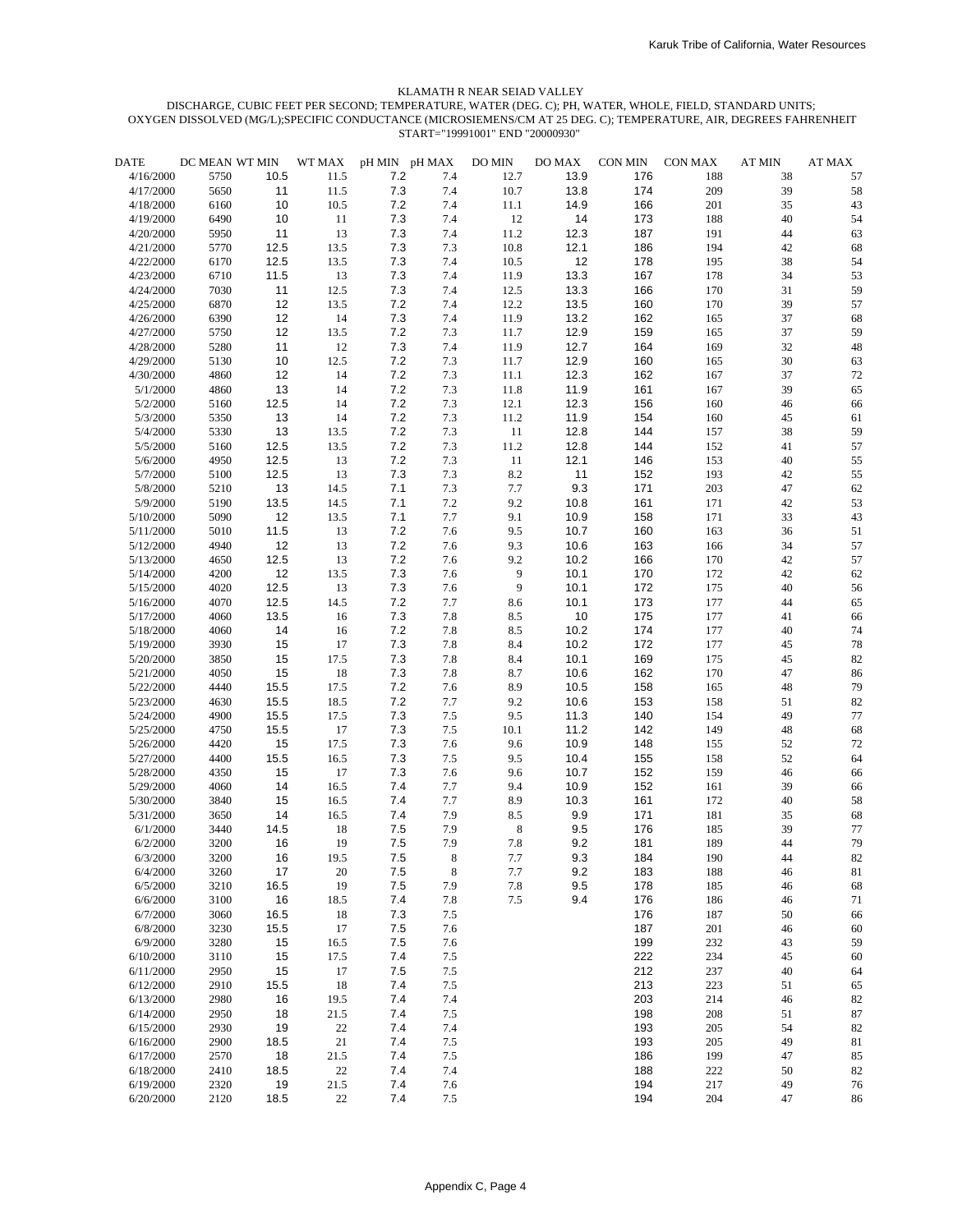| <b>DATE</b> | DC MEAN WT MIN |      | WT MAX | pH MIN pH MAX |         | DO MIN   | DO MAX | CON MIN | CON MAX | <b>AT MIN</b> | AT MAX |
|-------------|----------------|------|--------|---------------|---------|----------|--------|---------|---------|---------------|--------|
| 4/16/2000   | 5750           | 10.5 | 11.5   | 7.2           | 7.4     | 12.7     | 13.9   | 176     | 188     | 38            | 57     |
| 4/17/2000   | 5650           | 11   | 11.5   | 7.3           | 7.4     | 10.7     | 13.8   | 174     | 209     | 39            | 58     |
| 4/18/2000   | 6160           | 10   | 10.5   | 7.2           | 7.4     | $11.1\,$ | 14.9   | 166     | 201     | 35            | 43     |
| 4/19/2000   | 6490           | 10   | 11     | 7.3           | 7.4     | 12       | 14     | 173     | 188     | 40            | 54     |
| 4/20/2000   | 5950           | 11   | 13     | 7.3           | 7.4     | $11.2\,$ | 12.3   | 187     | 191     | 44            | 63     |
| 4/21/2000   | 5770           | 12.5 | 13.5   | 7.3           | 7.3     | 10.8     | 12.1   | 186     | 194     | 42            | 68     |
| 4/22/2000   | 6170           | 12.5 | 13.5   | 7.3           | 7.4     | 10.5     | 12     | 178     | 195     | 38            | 54     |
| 4/23/2000   | 6710           | 11.5 | 13     | 7.3           | 7.4     | 11.9     | 13.3   | 167     | 178     | 34            | 53     |
| 4/24/2000   | 7030           | 11   | 12.5   | 7.3           | 7.4     | 12.5     | 13.3   | 166     | 170     | 31            | 59     |
| 4/25/2000   | 6870           | 12   | 13.5   | 7.2           | 7.4     | 12.2     | 13.5   | 160     | 170     | 39            | 57     |
| 4/26/2000   | 6390           | 12   | 14     | 7.3           | 7.4     | 11.9     | 13.2   | 162     | 165     | 37            | 68     |
| 4/27/2000   | 5750           | 12   | 13.5   | 7.2           | 7.3     | 11.7     | 12.9   | 159     | 165     | 37            | 59     |
| 4/28/2000   | 5280           | 11   | 12     | 7.3           | 7.4     | 11.9     | 12.7   | 164     | 169     | 32            | 48     |
| 4/29/2000   | 5130           | 10   | 12.5   | 7.2           | 7.3     | 11.7     | 12.9   | 160     | 165     | 30            | 63     |
| 4/30/2000   | 4860           | 12   | 14     | 7.2           | 7.3     | 11.1     | 12.3   | 162     | 167     | 37            | 72     |
| 5/1/2000    | 4860           | 13   | 14     | 7.2           | 7.3     | 11.8     | 11.9   | 161     | 167     | 39            | 65     |
| 5/2/2000    | 5160           | 12.5 | 14     | 7.2           | 7.3     | 12.1     | 12.3   | 156     | 160     | 46            | 66     |
| 5/3/2000    | 5350           | 13   | 14     | 7.2           | 7.3     | 11.2     | 11.9   | 154     | 160     | 45            | 61     |
| 5/4/2000    | 5330           | 13   | 13.5   | 7.2           | 7.3     | 11       | 12.8   | 144     | 157     | 38            | 59     |
| 5/5/2000    | 5160           | 12.5 | 13.5   | 7.2           | 7.3     | 11.2     | 12.8   | 144     | 152     | 41            | 57     |
| 5/6/2000    | 4950           | 12.5 | 13     | 7.2           | 7.3     | 11       | 12.1   | 146     | 153     | 40            | 55     |
| 5/7/2000    | 5100           | 12.5 | 13     | 7.3           | 7.3     | $8.2\,$  | 11     | 152     | 193     | 42            | 55     |
| 5/8/2000    | 5210           | 13   | 14.5   | 7.1           | 7.3     | 7.7      | 9.3    | 171     | 203     | 47            | 62     |
| 5/9/2000    | 5190           | 13.5 | 14.5   | 7.1           | 7.2     | 9.2      | 10.8   | 161     | 171     | 42            | 53     |
| 5/10/2000   | 5090           | 12   | 13.5   | 7.1           | 7.7     | 9.1      | 10.9   | 158     | 171     | 33            | 43     |
| 5/11/2000   | 5010           | 11.5 | 13     | 7.2           | 7.6     | 9.5      | 10.7   | 160     | 163     | 36            | 51     |
| 5/12/2000   | 4940           | 12   | 13     | 7.2           | 7.6     | 9.3      | 10.6   | 163     | 166     | 34            | 57     |
| 5/13/2000   | 4650           | 12.5 | 13     | 7.2           | 7.6     | 9.2      | 10.2   | 166     | 170     | 42            | 57     |
| 5/14/2000   | 4200           | 12   | 13.5   | 7.3           | 7.6     | 9        | 10.1   | 170     | 172     | 42            | 62     |
| 5/15/2000   | 4020           | 12.5 | 13     | 7.3           | 7.6     | 9        | 10.1   | 172     | 175     | 40            | 56     |
| 5/16/2000   | 4070           | 12.5 | 14.5   | 7.2           | 7.7     | 8.6      | 10.1   | 173     | 177     | 44            | 65     |
| 5/17/2000   | 4060           | 13.5 | 16     | 7.3           | $7.8\,$ | 8.5      | 10     | 175     | 177     | 41            | 66     |
| 5/18/2000   | 4060           | 14   | 16     | 7.2           | 7.8     | 8.5      | 10.2   | 174     | 177     | 40            | 74     |
| 5/19/2000   | 3930           | 15   | 17     | 7.3           | 7.8     | 8.4      | 10.2   | 172     | 177     | 45            | 78     |
| 5/20/2000   | 3850           | 15   | 17.5   | 7.3           | 7.8     | 8.4      | 10.1   | 169     | 175     | 45            | 82     |
| 5/21/2000   | 4050           | 15   | 18     | 7.3           | 7.8     | 8.7      | 10.6   | 162     | 170     | 47            | 86     |
| 5/22/2000   | 4440           | 15.5 | 17.5   | 7.2           | 7.6     | 8.9      | 10.5   | 158     | 165     | 48            | 79     |
| 5/23/2000   | 4630           | 15.5 | 18.5   | 7.2           | 7.7     | 9.2      | 10.6   | 153     | 158     | 51            | 82     |
|             |                |      |        |               |         |          |        | 140     |         |               |        |
| 5/24/2000   | 4900           | 15.5 | 17.5   | 7.3           | 7.5     | 9.5      | 11.3   |         | 154     | 49            | 77     |
| 5/25/2000   | 4750           | 15.5 | 17     | 7.3           | 7.5     | 10.1     | 11.2   | 142     | 149     | 48            | 68     |
| 5/26/2000   | 4420           | 15   | 17.5   | 7.3           | 7.6     | 9.6      | 10.9   | 148     | 155     | 52            | 72     |
| 5/27/2000   | 4400           | 15.5 | 16.5   | 7.3           | 7.5     | 9.5      | 10.4   | 155     | 158     | 52            | 64     |
| 5/28/2000   | 4350           | 15   | 17     | 7.3           | 7.6     | 9.6      | 10.7   | 152     | 159     | 46            | 66     |
| 5/29/2000   | 4060           | 14   | 16.5   | 7.4           | 7.7     | 9.4      | 10.9   | 152     | 161     | 39            | 66     |
| 5/30/2000   | 3840           | 15   | 16.5   | 7.4           | 7.7     | 8.9      | 10.3   | 161     | 172     | 40            | 58     |
| 5/31/2000   | 3650           | 14   | 16.5   | 7.4           | 7.9     | 8.5      | 9.9    | 171     | 181     | 35            | 68     |
| 6/1/2000    | 3440           | 14.5 | 18     | 7.5           | 7.9     | 8        | 9.5    | 176     | 185     | 39            | 77     |
| 6/2/2000    | 3200           | 16   | 19     | 7.5           | 7.9     | 7.8      | 9.2    | 181     | 189     | 44            | 79     |
| 6/3/2000    | 3200           | 16   | 19.5   | $7.5\,$       | 8       | $7.7\,$  | 9.3    | 184     | 190     | 44            | 82     |
| 6/4/2000    | 3260           | 17   | 20     | 7.5           | 8       | 7.7      | 9.2    | 183     | 188     | 46            | 81     |
| 6/5/2000    | 3210           | 16.5 | 19     | 7.5           | 7.9     | 7.8      | 9.5    | 178     | 185     | 46            | 68     |
| 6/6/2000    | 3100           | 16   | 18.5   | 7.4           | 7.8     | 7.5      | 9.4    | 176     | 186     | 46            | 71     |
| 6/7/2000    | 3060           | 16.5 | 18     | 7.3           | 7.5     |          |        | 176     | 187     | 50            | 66     |
| 6/8/2000    | 3230           | 15.5 | 17     | 7.5           | 7.6     |          |        | 187     | 201     | 46            | 60     |
| 6/9/2000    | 3280           | 15   | 16.5   | 7.5           | 7.6     |          |        | 199     | 232     | 43            | 59     |
| 6/10/2000   | 3110           | 15   | 17.5   | 7.4           | 7.5     |          |        | 222     | 234     | 45            | 60     |
| 6/11/2000   | 2950           | 15   | 17     | 7.5           | $7.5$   |          |        | 212     | 237     | 40            | 64     |
| 6/12/2000   | 2910           | 15.5 | 18     | 7.4           | $7.5$   |          |        | 213     | 223     | 51            | 65     |
| 6/13/2000   | 2980           | 16   | 19.5   | 7.4           | 7.4     |          |        | 203     | 214     | 46            | 82     |
| 6/14/2000   | 2950           | 18   | 21.5   | 7.4           | $7.5$   |          |        | 198     | 208     | 51            | 87     |
| 6/15/2000   | 2930           | 19   | 22     | 7.4           | 7.4     |          |        | 193     | 205     | 54            | 82     |
| 6/16/2000   | 2900           | 18.5 | 21     | 7.4           | 7.5     |          |        | 193     | 205     | 49            | 81     |
| 6/17/2000   | 2570           | 18   | 21.5   | 7.4           | 7.5     |          |        | 186     | 199     | 47            | 85     |
| 6/18/2000   | 2410           | 18.5 | $22\,$ | 7.4           | 7.4     |          |        | 188     | 222     | 50            | 82     |
| 6/19/2000   | 2320           | 19   | 21.5   | 7.4           | 7.6     |          |        | 194     | 217     | 49            | 76     |
| 6/20/2000   | 2120           | 18.5 | $22\,$ | 7.4           | $7.5$   |          |        | 194     | 204     | 47            | 86     |
|             |                |      |        |               |         |          |        |         |         |               |        |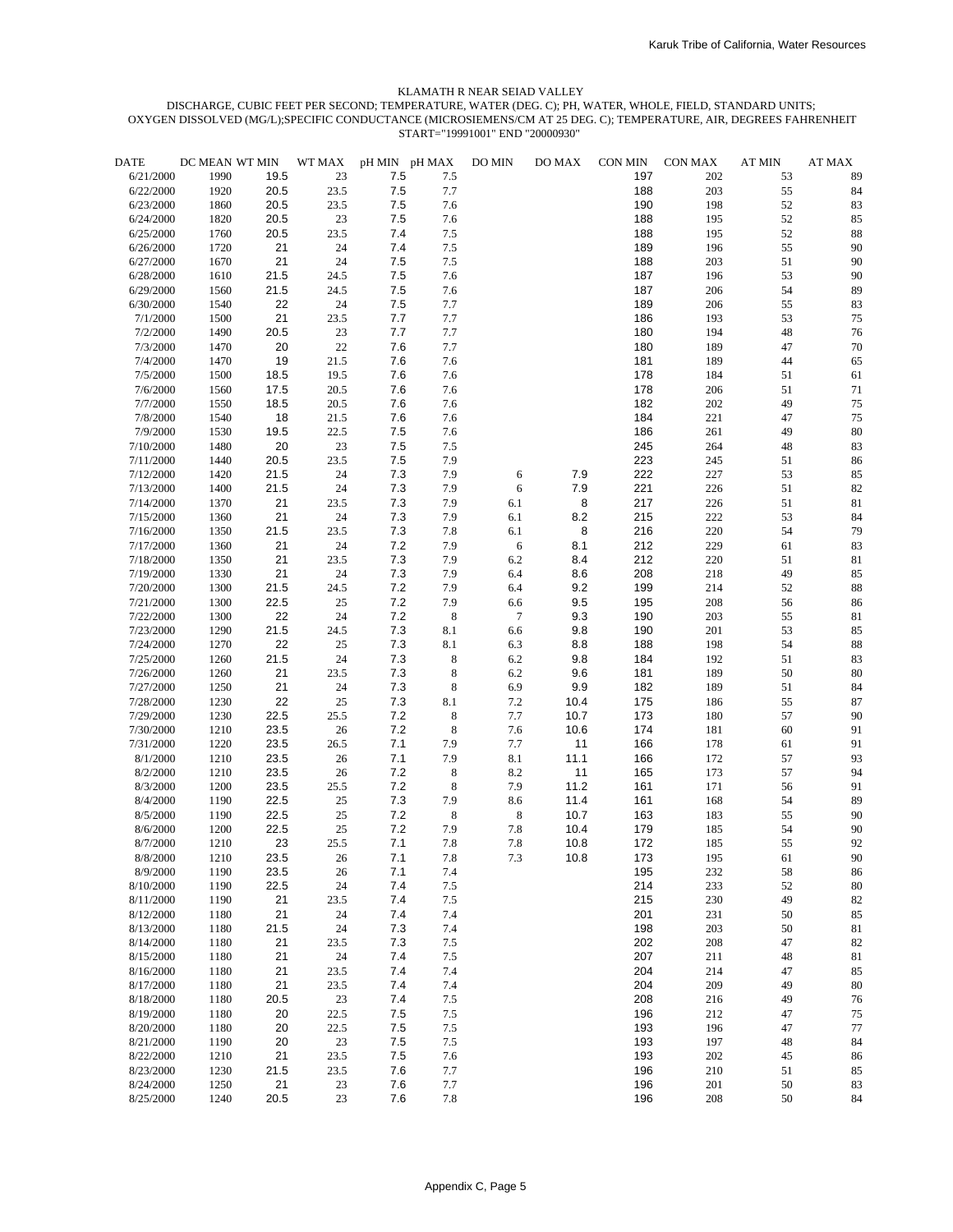| <b>DATE</b> | DC MEAN WT MIN |      | WT MAX   |     | pH MIN pH MAX | DO MIN         | DO MAX | CON MIN | CON MAX | <b>AT MIN</b> | <b>AT MAX</b> |
|-------------|----------------|------|----------|-----|---------------|----------------|--------|---------|---------|---------------|---------------|
| 6/21/2000   | 1990           | 19.5 | 23       | 7.5 | 7.5           |                |        | 197     | 202     | 53            | 89            |
| 6/22/2000   | 1920           | 20.5 | 23.5     | 7.5 | 7.7           |                |        | 188     | 203     | 55            | 84            |
| 6/23/2000   | 1860           | 20.5 | 23.5     | 7.5 | 7.6           |                |        | 190     | 198     | 52            | 83            |
| 6/24/2000   | 1820           | 20.5 | 23       | 7.5 | 7.6           |                |        | 188     | 195     | 52            | 85            |
| 6/25/2000   | 1760           | 20.5 | 23.5     | 7.4 | 7.5           |                |        | 188     | 195     | 52            | 88            |
|             |                | 21   | 24       | 7.4 |               |                |        | 189     |         | 55            | 90            |
| 6/26/2000   | 1720           |      |          |     | 7.5           |                |        |         | 196     |               |               |
| 6/27/2000   | 1670           | 21   | 24       | 7.5 | 7.5           |                |        | 188     | 203     | 51            | 90            |
| 6/28/2000   | 1610           | 21.5 | 24.5     | 7.5 | 7.6           |                |        | 187     | 196     | 53            | 90            |
| 6/29/2000   | 1560           | 21.5 | 24.5     | 7.5 | 7.6           |                |        | 187     | 206     | 54            | 89            |
| 6/30/2000   | 1540           | 22   | 24       | 7.5 | 7.7           |                |        | 189     | 206     | 55            | 83            |
| 7/1/2000    | 1500           | 21   | 23.5     | 7.7 | 7.7           |                |        | 186     | 193     | 53            | 75            |
| 7/2/2000    | 1490           | 20.5 | 23       | 7.7 | 7.7           |                |        | 180     | 194     | 48            | 76            |
| 7/3/2000    | 1470           | 20   | $22\,$   | 7.6 | 7.7           |                |        | 180     | 189     | 47            | 70            |
| 7/4/2000    | 1470           | 19   | 21.5     | 7.6 | 7.6           |                |        | 181     | 189     | 44            | 65            |
| 7/5/2000    | 1500           | 18.5 | 19.5     | 7.6 | 7.6           |                |        | 178     | 184     | 51            | 61            |
| 7/6/2000    | 1560           | 17.5 | 20.5     | 7.6 | 7.6           |                |        | 178     | 206     | 51            | 71            |
| 7/7/2000    | 1550           | 18.5 | 20.5     | 7.6 | 7.6           |                |        | 182     | 202     | 49            | 75            |
|             |                |      |          |     |               |                |        |         |         |               |               |
| 7/8/2000    | 1540           | 18   | 21.5     | 7.6 | 7.6           |                |        | 184     | 221     | 47            | 75            |
| 7/9/2000    | 1530           | 19.5 | 22.5     | 7.5 | 7.6           |                |        | 186     | 261     | 49            | 80            |
| 7/10/2000   | 1480           | 20   | 23       | 7.5 | 7.5           |                |        | 245     | 264     | 48            | 83            |
| 7/11/2000   | 1440           | 20.5 | 23.5     | 7.5 | 7.9           |                |        | 223     | 245     | 51            | 86            |
| 7/12/2000   | 1420           | 21.5 | 24       | 7.3 | 7.9           | 6              | 7.9    | 222     | 227     | 53            | 85            |
| 7/13/2000   | 1400           | 21.5 | 24       | 7.3 | 7.9           | $\sqrt{6}$     | 7.9    | 221     | 226     | 51            | 82            |
| 7/14/2000   | 1370           | 21   | 23.5     | 7.3 | 7.9           | 6.1            | 8      | 217     | 226     | 51            | 81            |
| 7/15/2000   | 1360           | 21   | 24       | 7.3 | 7.9           | 6.1            | 8.2    | 215     | 222     | 53            | 84            |
| 7/16/2000   | 1350           | 21.5 | 23.5     | 7.3 | 7.8           | 6.1            | 8      | 216     | 220     | 54            | 79            |
| 7/17/2000   | 1360           | 21   | 24       | 7.2 | 7.9           | 6              | 8.1    | 212     | 229     | 61            | 83            |
| 7/18/2000   |                | 21   |          | 7.3 | 7.9           | $6.2\,$        | 8.4    | 212     | 220     | 51            | 81            |
|             | 1350           |      | 23.5     |     |               |                |        |         |         |               |               |
| 7/19/2000   | 1330           | 21   | 24       | 7.3 | 7.9           | 6.4            | 8.6    | 208     | 218     | 49            | 85            |
| 7/20/2000   | 1300           | 21.5 | 24.5     | 7.2 | 7.9           | 6.4            | 9.2    | 199     | 214     | 52            | 88            |
| 7/21/2000   | 1300           | 22.5 | 25       | 7.2 | 7.9           | 6.6            | 9.5    | 195     | 208     | 56            | 86            |
| 7/22/2000   | 1300           | 22   | 24       | 7.2 | $\,$ 8 $\,$   | $\overline{7}$ | 9.3    | 190     | 203     | 55            | 81            |
| 7/23/2000   | 1290           | 21.5 | 24.5     | 7.3 | 8.1           | 6.6            | 9.8    | 190     | 201     | 53            | 85            |
| 7/24/2000   | 1270           | 22   | 25       | 7.3 | 8.1           | 6.3            | 8.8    | 188     | 198     | 54            | 88            |
| 7/25/2000   | 1260           | 21.5 | 24       | 7.3 | 8             | 6.2            | 9.8    | 184     | 192     | 51            | 83            |
| 7/26/2000   | 1260           | 21   | 23.5     | 7.3 | 8             | 6.2            | 9.6    | 181     | 189     | 50            | 80            |
| 7/27/2000   | 1250           | 21   | 24       | 7.3 | $\,$ 8 $\,$   | 6.9            | 9.9    | 182     | 189     | 51            | 84            |
| 7/28/2000   | 1230           | 22   | 25       | 7.3 | 8.1           | 7.2            | 10.4   | 175     | 186     | 55            | 87            |
|             |                |      |          |     |               |                |        |         |         |               |               |
| 7/29/2000   | 1230           | 22.5 | 25.5     | 7.2 | $\,$ 8 $\,$   | 7.7            | 10.7   | 173     | 180     | 57            | 90            |
| 7/30/2000   | 1210           | 23.5 | 26       | 7.2 | $\,8\,$       | 7.6            | 10.6   | 174     | 181     | 60            | 91            |
| 7/31/2000   | 1220           | 23.5 | 26.5     | 7.1 | 7.9           | 7.7            | 11     | 166     | 178     | 61            | 91            |
| 8/1/2000    | 1210           | 23.5 | 26       | 7.1 | 7.9           | 8.1            | 11.1   | 166     | 172     | 57            | 93            |
| 8/2/2000    | 1210           | 23.5 | 26       | 7.2 | 8             | 8.2            | 11     | 165     | 173     | 57            | 94            |
| 8/3/2000    | 1200           | 23.5 | $25.5\,$ | 7.2 | 8             | 7.9            | 11.2   | 161     | 171     | 56            | 91            |
| 8/4/2000    | 1190           | 22.5 | 25       | 7.3 | 7.9           | 8.6            | 11.4   | 161     | 168     | 54            | 89            |
| 8/5/2000    | 1190           | 22.5 | 25       | 7.2 | 8             | $\,8\,$        | 10.7   | 163     | 183     | 55            | 90            |
| 8/6/2000    | 1200           | 22.5 | 25       | 7.2 | 7.9           | 7.8            | 10.4   | 179     | 185     | 54            | 90            |
| 8/7/2000    | 1210           | 23   | 25.5     | 7.1 | 7.8           | 7.8            | 10.8   | 172     | 185     | 55            | 92            |
| 8/8/2000    | 1210           | 23.5 | 26       | 7.1 | $7.8\,$       | $7.3\,$        | 10.8   | 173     | 195     | 61            | $90\,$        |
|             |                |      |          |     |               |                |        |         |         |               |               |
| 8/9/2000    | 1190           | 23.5 | 26       | 7.1 | 7.4           |                |        | 195     | 232     | 58            | 86            |
| 8/10/2000   | 1190           | 22.5 | 24       | 7.4 | 7.5           |                |        | 214     | 233     | 52            | $80\,$        |
| 8/11/2000   | 1190           | 21   | 23.5     | 7.4 | 7.5           |                |        | 215     | 230     | 49            | 82            |
| 8/12/2000   | 1180           | 21   | 24       | 7.4 | 7.4           |                |        | 201     | 231     | 50            | 85            |
| 8/13/2000   | 1180           | 21.5 | 24       | 7.3 | 7.4           |                |        | 198     | 203     | 50            | 81            |
| 8/14/2000   | 1180           | 21   | 23.5     | 7.3 | 7.5           |                |        | 202     | 208     | 47            | 82            |
| 8/15/2000   | 1180           | 21   | $24\,$   | 7.4 | 7.5           |                |        | 207     | 211     | 48            | 81            |
| 8/16/2000   | 1180           | 21   | 23.5     | 7.4 | 7.4           |                |        | 204     | 214     | 47            | 85            |
| 8/17/2000   | 1180           | 21   | 23.5     | 7.4 | 7.4           |                |        | 204     | 209     | 49            | 80            |
|             | 1180           | 20.5 | 23       | 7.4 | 7.5           |                |        | 208     |         | 49            | 76            |
| 8/18/2000   |                |      |          |     |               |                |        |         | 216     |               |               |
| 8/19/2000   | 1180           | 20   | 22.5     | 7.5 | $7.5\,$       |                |        | 196     | 212     | 47            | 75            |
| 8/20/2000   | 1180           | 20   | 22.5     | 7.5 | 7.5           |                |        | 193     | 196     | 47            | 77            |
| 8/21/2000   | 1190           | 20   | 23       | 7.5 | 7.5           |                |        | 193     | 197     | 48            | 84            |
| 8/22/2000   | 1210           | 21   | 23.5     | 7.5 | 7.6           |                |        | 193     | 202     | 45            | 86            |
| 8/23/2000   | 1230           | 21.5 | 23.5     | 7.6 | 7.7           |                |        | 196     | 210     | 51            | 85            |
| 8/24/2000   | 1250           | 21   | 23       | 7.6 | 7.7           |                |        | 196     | 201     | 50            | 83            |
| 8/25/2000   | 1240           | 20.5 | 23       | 7.6 | $7.8\,$       |                |        | 196     | 208     | 50            | $84\,$        |